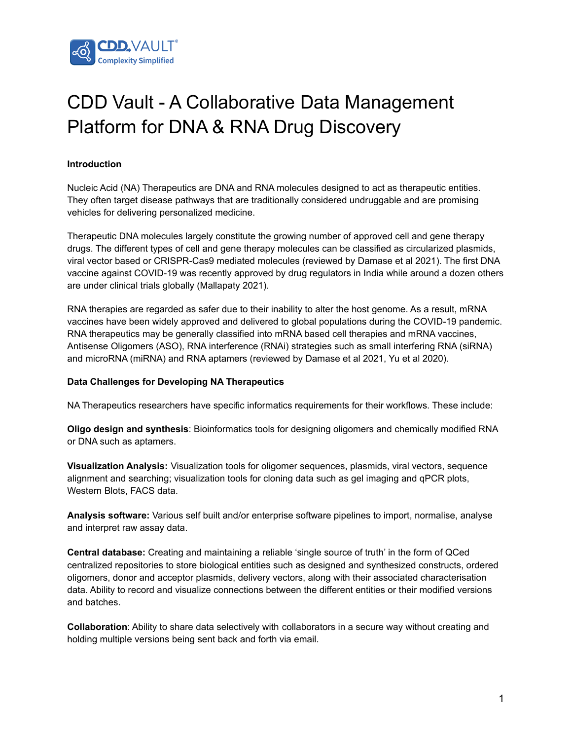

# CDD Vault - A Collaborative Data Management Platform for DNA & RNA Drug Discovery

# **Introduction**

Nucleic Acid (NA) Therapeutics are DNA and RNA molecules designed to act as therapeutic entities. They often target disease pathways that are traditionally considered undruggable and are promising vehicles for delivering personalized medicine.

Therapeutic DNA molecules largely constitute the growing number of approved cell and gene therapy drugs. The different types of cell and gene therapy molecules can be classified as circularized plasmids, viral vector based or CRISPR-Cas9 mediated molecules (reviewed by Damase et al 2021). The first DNA vaccine against COVID-19 was recently approved by drug regulators in India while around a dozen others are under clinical trials globally (Mallapaty 2021).

RNA therapies are regarded as safer due to their inability to alter the host genome. As a result, mRNA vaccines have been widely approved and delivered to global populations during the COVID-19 pandemic. RNA therapeutics may be generally classified into mRNA based cell therapies and mRNA vaccines, Antisense Oligomers (ASO), RNA interference (RNAi) strategies such as small interfering RNA (siRNA) and microRNA (miRNA) and RNA aptamers (reviewed by Damase et al 2021, Yu et al 2020).

### **Data Challenges for Developing NA Therapeutics**

NA Therapeutics researchers have specific informatics requirements for their workflows. These include:

**Oligo design and synthesis**: Bioinformatics tools for designing oligomers and chemically modified RNA or DNA such as aptamers.

**Visualization Analysis:** Visualization tools for oligomer sequences, plasmids, viral vectors, sequence alignment and searching; visualization tools for cloning data such as gel imaging and qPCR plots, Western Blots, FACS data.

**Analysis software:** Various self built and/or enterprise software pipelines to import, normalise, analyse and interpret raw assay data.

**Central database:** Creating and maintaining a reliable 'single source of truth' in the form of QCed centralized repositories to store biological entities such as designed and synthesized constructs, ordered oligomers, donor and acceptor plasmids, delivery vectors, along with their associated characterisation data. Ability to record and visualize connections between the different entities or their modified versions and batches.

**Collaboration**: Ability to share data selectively with collaborators in a secure way without creating and holding multiple versions being sent back and forth via email.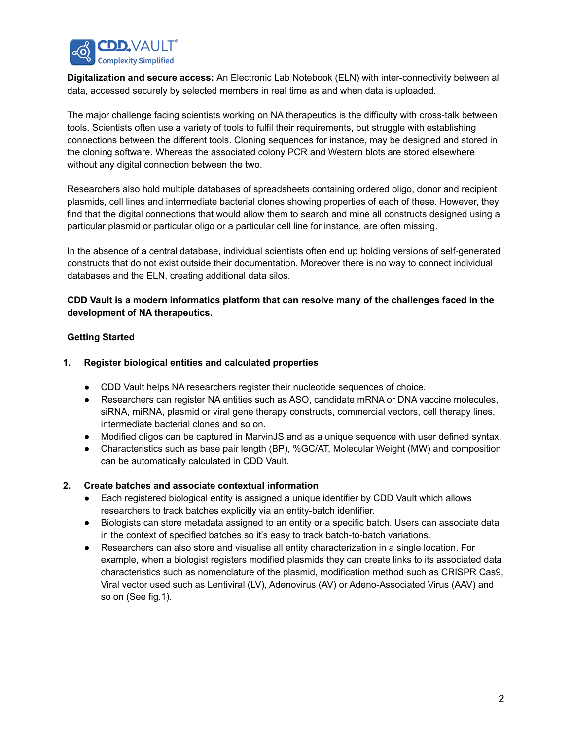

**Digitalization and secure access:** An Electronic Lab Notebook (ELN) with inter-connectivity between all data, accessed securely by selected members in real time as and when data is uploaded.

The major challenge facing scientists working on NA therapeutics is the difficulty with cross-talk between tools. Scientists often use a variety of tools to fulfil their requirements, but struggle with establishing connections between the different tools. Cloning sequences for instance, may be designed and stored in the cloning software. Whereas the associated colony PCR and Western blots are stored elsewhere without any digital connection between the two.

Researchers also hold multiple databases of spreadsheets containing ordered oligo, donor and recipient plasmids, cell lines and intermediate bacterial clones showing properties of each of these. However, they find that the digital connections that would allow them to search and mine all constructs designed using a particular plasmid or particular oligo or a particular cell line for instance, are often missing.

In the absence of a central database, individual scientists often end up holding versions of self-generated constructs that do not exist outside their documentation. Moreover there is no way to connect individual databases and the ELN, creating additional data silos.

### **CDD Vault is a modern informatics platform that can resolve many of the challenges faced in the development of NA therapeutics.**

#### **Getting Started**

#### **1. Register biological entities and calculated properties**

- CDD Vault helps NA researchers register their nucleotide sequences of choice.
- Researchers can register NA entities such as ASO, candidate mRNA or DNA vaccine molecules, siRNA, miRNA, plasmid or viral gene therapy constructs, commercial vectors, cell therapy lines, intermediate bacterial clones and so on.
- Modified oligos can be captured in MarvinJS and as a unique sequence with user defined syntax.
- Characteristics such as base pair length (BP), %GC/AT, Molecular Weight (MW) and composition can be automatically calculated in CDD Vault.

#### **2. Create batches and associate contextual information**

- Each registered biological entity is assigned a unique identifier by CDD Vault which allows researchers to track batches explicitly via an entity-batch identifier.
- Biologists can store metadata assigned to an entity or a specific batch. Users can associate data in the context of specified batches so it's easy to track batch-to-batch variations.
- Researchers can also store and visualise all entity characterization in a single location. For example, when a biologist registers modified plasmids they can create links to its associated data characteristics such as nomenclature of the plasmid, modification method such as CRISPR Cas9, Viral vector used such as Lentiviral (LV), Adenovirus (AV) or Adeno-Associated Virus (AAV) and so on (See fig.1).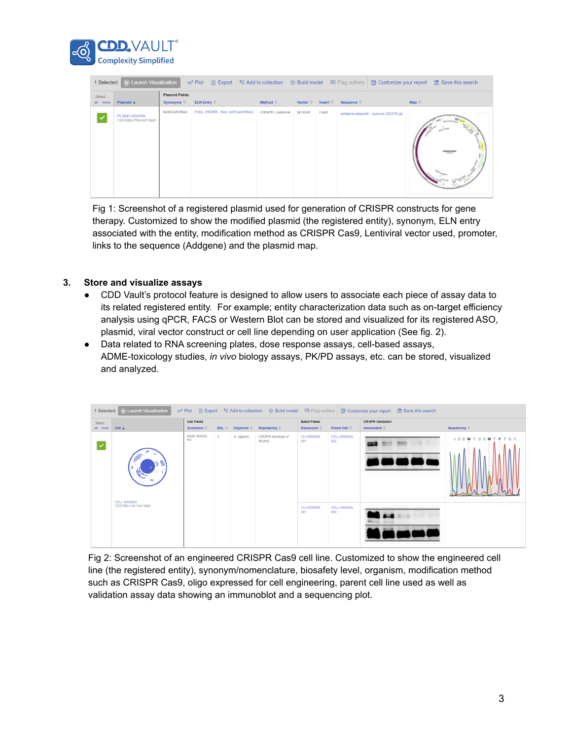

| Select       |                                        | <b>Plasmid Fields</b> |                                      |                      |                               |                               |                                  |                          |  |  |  |
|--------------|----------------------------------------|-----------------------|--------------------------------------|----------------------|-------------------------------|-------------------------------|----------------------------------|--------------------------|--|--|--|
| $all - none$ | Plasmid $\hat{\div}$                   | Synonyms $\hat{=}$    | ELN Entry                            | Method $\Rightarrow$ | Vector $\widehat{\mathbb{C}}$ | Insert $\widehat{\mathbb{C}}$ | Sequence $\hat{=}$               | Map $\hat{=}$            |  |  |  |
|              | PLSMD-0000008<br>CDDVBio Plasmid Vault | lentiCas9-Blast       | Entry: 245389 - Seg: lentiCas9-Blast | CRISPR, Lentiviral   | pFUGW                         | Cas9                          | addgene-plasmid-guence-322376.gb | <b><i>SIMMET BIA</i></b> |  |  |  |

Fig 1: Screenshot of a registered plasmid used for generation of CRISPR constructs for gene therapy. Customized to show the modified plasmid (the registered entity), synonym, ELN entry associated with the entity, modification method as CRISPR Cas9, Lentiviral vector used, promoter, links to the sequence (Addgene) and the plasmid map.

# **3. Store and visualize assays**

- CDD Vault's protocol feature is designed to allow users to associate each piece of assay data to its related registered entity. For example; entity characterization data such as on-target efficiency analysis using qPCR, FACS or Western Blot can be stored and visualized for its registered ASO, plasmid, viral vector construct or cell line depending on user application (See fig. 2).
- Data related to RNA screening plates, dose response assays, cell-based assays, ADME-toxicology studies, *in vivo* biology assays, PK/PD assays, etc. can be stored, visualized and analyzed.



Fig 2: Screenshot of an engineered CRISPR Cas9 cell line. Customized to show the engineered cell line (the registered entity), synonym/nomenclature, biosafety level, organism, modification method such as CRISPR Cas9, oligo expressed for cell engineering, parent cell line used as well as validation assay data showing an immunoblot and a sequencing plot.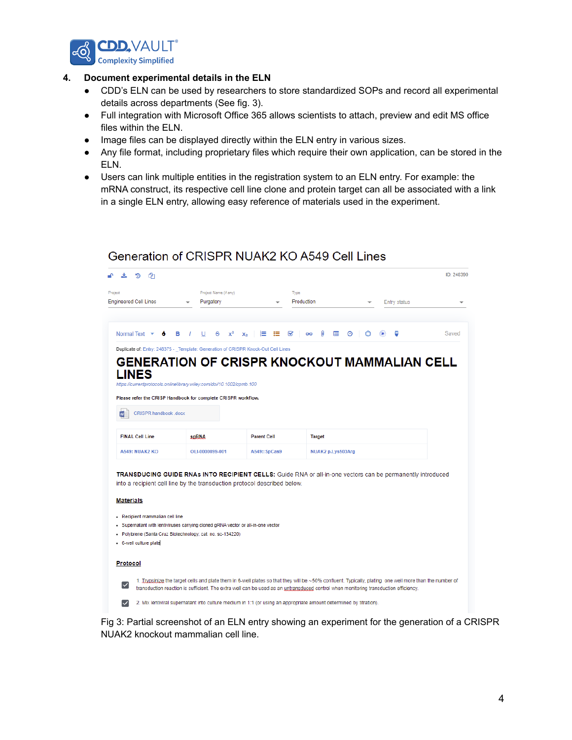

#### **4. Document experimental details in the ELN**

- CDD's ELN can be used by researchers to store standardized SOPs and record all experimental details across departments (See fig. 3).
- Full integration with Microsoft Office 365 allows scientists to attach, preview and edit MS office files within the ELN.
- Image files can be displayed directly within the ELN entry in various sizes.
- Any file format, including proprietary files which require their own application, can be stored in the ELN.
- Users can link multiple entities in the registration system to an ELN entry. For example: the mRNA construct, its respective cell line clone and protein target can all be associated with a link in a single ELN entry, allowing easy reference of materials used in the experiment.

# Generation of CRISPR NUAK2 KO A549 Cell Lines

| <b>Engineered Cell Lines</b>                                                                                                                                                                                                                                                                        |                 | Project Name (if any)<br>Purgatory |                    | Type<br>Production |                   |   |   |  | Entry status |       |
|-----------------------------------------------------------------------------------------------------------------------------------------------------------------------------------------------------------------------------------------------------------------------------------------------------|-----------------|------------------------------------|--------------------|--------------------|-------------------|---|---|--|--------------|-------|
| Normal Text $\rightarrow$                                                                                                                                                                                                                                                                           | в<br>U          | s<br>$x^2$<br>$\mathbf{x}_2$       | 這                  | ⋿<br>☞             | ⋒<br>GO           | 囲 | ⊙ |  | Φ            | Saved |
| Duplicate of: Entry: 248375 - Template: Generation of CRISPR Knock-Out Cell Lines                                                                                                                                                                                                                   |                 |                                    |                    |                    |                   |   |   |  |              |       |
| <b>GENERATION OF CRISPR KNOCKOUT MAMMALIAN CELL</b>                                                                                                                                                                                                                                                 |                 |                                    |                    |                    |                   |   |   |  |              |       |
| <b>LINES</b>                                                                                                                                                                                                                                                                                        |                 |                                    |                    |                    |                   |   |   |  |              |       |
| https://currentprotocols.onlinelibrary.wiley.com/doi/10.1002/cpmb.100                                                                                                                                                                                                                               |                 |                                    |                    |                    |                   |   |   |  |              |       |
| Please refer the CRISP Handbook for complete CRISPR workflow.                                                                                                                                                                                                                                       |                 |                                    |                    |                    |                   |   |   |  |              |       |
| CRISPR handbook .docx<br>w                                                                                                                                                                                                                                                                          |                 |                                    |                    |                    |                   |   |   |  |              |       |
|                                                                                                                                                                                                                                                                                                     |                 |                                    |                    |                    |                   |   |   |  |              |       |
| <b>FINAL Cell Line</b>                                                                                                                                                                                                                                                                              | saRNA           |                                    | <b>Parent Cell</b> |                    | <b>Target</b>     |   |   |  |              |       |
| <b>A549: NUAK2 KO</b>                                                                                                                                                                                                                                                                               | OLI-0000099-001 |                                    | A549::SpCas9       |                    | NUAK2 p.Lys503Arg |   |   |  |              |       |
|                                                                                                                                                                                                                                                                                                     |                 |                                    |                    |                    |                   |   |   |  |              |       |
|                                                                                                                                                                                                                                                                                                     |                 |                                    |                    |                    |                   |   |   |  |              |       |
| TRANSDUCING GUIDE RNAs INTO RECIPIENT CELLS: Guide RNA or all-in-one vectors can be permanently introduced                                                                                                                                                                                          |                 |                                    |                    |                    |                   |   |   |  |              |       |
|                                                                                                                                                                                                                                                                                                     |                 |                                    |                    |                    |                   |   |   |  |              |       |
|                                                                                                                                                                                                                                                                                                     |                 |                                    |                    |                    |                   |   |   |  |              |       |
| into a recipient cell line by the transduction protocol described below.<br><b>Materials</b><br>- Recipient mammalian cell line                                                                                                                                                                     |                 |                                    |                    |                    |                   |   |   |  |              |       |
| • Supernatant with lentiviruses carrying cloned gRNA vector or all-in-one vector                                                                                                                                                                                                                    |                 |                                    |                    |                    |                   |   |   |  |              |       |
| - Polybrene (Santa Cruz Biotechnology; cat. no. sc-134220)                                                                                                                                                                                                                                          |                 |                                    |                    |                    |                   |   |   |  |              |       |
| 6-well culture plate                                                                                                                                                                                                                                                                                |                 |                                    |                    |                    |                   |   |   |  |              |       |
| Protocol                                                                                                                                                                                                                                                                                            |                 |                                    |                    |                    |                   |   |   |  |              |       |
| 1. Trypsinize the target cells and plate them in 6-well plates so that they will be ~50% confluent. Typically, plating one well more than the number of<br>◡<br>transduction reaction is sufficient. The extra well can be used as an untransduced control when monitoring transduction efficiency. |                 |                                    |                    |                    |                   |   |   |  |              |       |

Fig 3: Partial screenshot of an ELN entry showing an experiment for the generation of a CRISPR NUAK2 knockout mammalian cell line.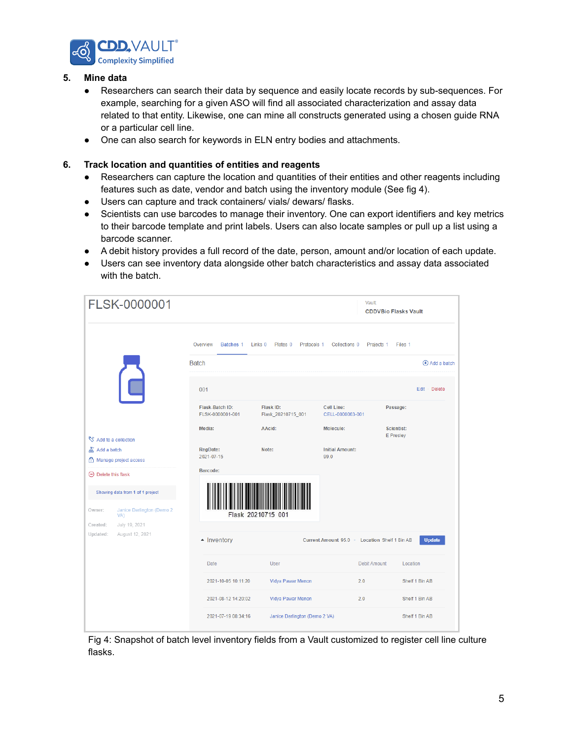

### **5. Mine data**

- Researchers can search their data by sequence and easily locate records by sub-sequences. For example, searching for a given ASO will find all associated characterization and assay data related to that entity. Likewise, one can mine all constructs generated using a chosen guide RNA or a particular cell line.
- One can also search for keywords in ELN entry bodies and attachments.

#### **6. Track location and quantities of entities and reagents**

- Researchers can capture the location and quantities of their entities and other reagents including features such as date, vendor and batch using the inventory module (See fig 4).
- Users can capture and track containers/ vials/ dewars/ flasks.
- Scientists can use barcodes to manage their inventory. One can export identifiers and key metrics to their barcode template and print labels. Users can also locate samples or pull up a list using a barcode scanner.
- A debit history provides a full record of the date, person, amount and/or location of each update.
- Users can see inventory data alongside other batch characteristics and assay data associated with the batch.

|                                               | FLSK-0000001                               |                          |                                     |                                               |                                               | <b>Vault:</b>       | <b>CDDVBio Flasks Vault</b> |                |                         |
|-----------------------------------------------|--------------------------------------------|--------------------------|-------------------------------------|-----------------------------------------------|-----------------------------------------------|---------------------|-----------------------------|----------------|-------------------------|
|                                               |                                            | Overview<br><b>Batch</b> | Batches 1                           | Links 0<br>Plates <sub>0</sub><br>Protocols 1 | Collections 0                                 | Projects 1          | Files 1                     |                | $\bigoplus$ Add a batch |
|                                               |                                            | 001                      |                                     |                                               |                                               |                     |                             |                | Edit · Delete           |
|                                               |                                            |                          | Flask-Batch ID:<br>FLSK-0000001-001 | Flask ID:<br>Flask_20210715_001               | Cell Line:<br>CELL-0000063-001                |                     | Passage:                    |                |                         |
| Add to a collection                           |                                            |                          | Media:                              | AAcid:                                        | Molecule:                                     |                     | Scientist:<br>E Presley     |                |                         |
| <b>A</b> Add a batch<br>Manage project access |                                            |                          | <b>RegDate:</b><br>2021-07-15       | Note:                                         | <b>Initial Amount:</b><br>99.0                |                     |                             |                |                         |
| $\Theta$ Delete this flask                    |                                            |                          | Barcode:                            |                                               |                                               |                     |                             |                |                         |
|                                               | Showing data from 1 of 1 project           |                          |                                     |                                               |                                               |                     |                             |                |                         |
| Owner:<br>VA)<br>Created:                     | Janice Darlington (Demo 2<br>July 19, 2021 |                          |                                     | Flask 20210715 001                            |                                               |                     |                             |                |                         |
| Updated:                                      | August 12, 2021                            |                          | - Inventory                         |                                               | Current Amount 95.0 . Location Shelf 1 Bin AB |                     |                             |                | <b>Update</b>           |
|                                               |                                            |                          | Date                                | <b>User</b>                                   |                                               | <b>Debit Amount</b> | Location                    |                |                         |
|                                               |                                            |                          | 2021-10-05 10:11:20                 | Vidya Pawar Menon                             |                                               |                     |                             | Shelf 1 Bin AB |                         |
|                                               |                                            |                          | 2021-08-12 14:20:02                 | Vidya Pawar Menon                             |                                               |                     |                             | Shelf 1 Bin AB |                         |
|                                               |                                            |                          | 2021-07-19 08:34:16                 | Janice Darlington (Demo 2 VA)                 |                                               |                     |                             | Shelf 1 Bin AB |                         |

Fig 4: Snapshot of batch level inventory fields from a Vault customized to register cell line culture flasks.